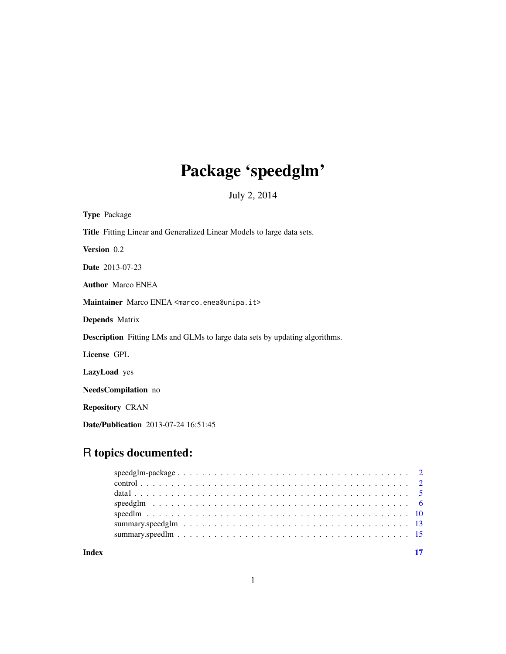# Package 'speedglm'

July 2, 2014

<span id="page-0-0"></span>

| <b>Type Package</b>                                                                |
|------------------------------------------------------------------------------------|
| <b>Title</b> Fitting Linear and Generalized Linear Models to large data sets.      |
| Version 0.2                                                                        |
| <b>Date</b> 2013-07-23                                                             |
| <b>Author</b> Marco ENEA                                                           |
| Maintainer Marco ENEA <marco.enea@unipa.it></marco.enea@unipa.it>                  |
| <b>Depends</b> Matrix                                                              |
| <b>Description</b> Fitting LMs and GLMs to large data sets by updating algorithms. |
| License GPL                                                                        |
| <b>LazyLoad</b> yes                                                                |
| <b>NeedsCompilation</b> no                                                         |
| <b>Repository CRAN</b>                                                             |

Date/Publication 2013-07-24 16:51:45

# R topics documented:

**Index** [17](#page-16-0)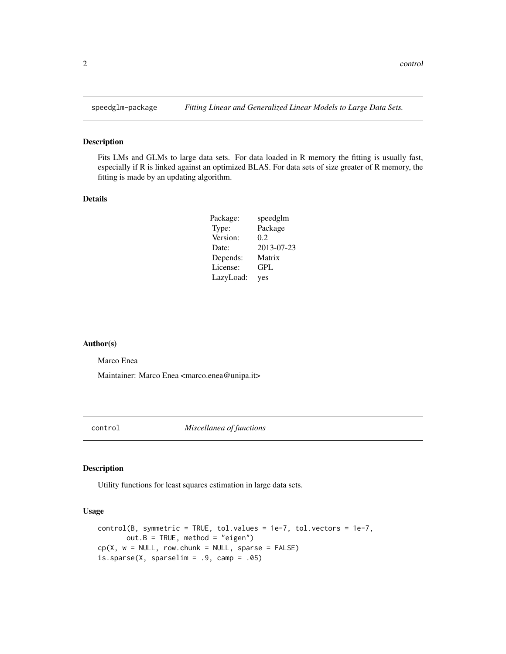<span id="page-1-0"></span>

Fits LMs and GLMs to large data sets. For data loaded in R memory the fitting is usually fast, especially if R is linked against an optimized BLAS. For data sets of size greater of R memory, the fitting is made by an updating algorithm.

#### Details

| Package:  | speedglm   |
|-----------|------------|
| Type:     | Package    |
| Version:  | 0.2        |
| Date:     | 2013-07-23 |
| Depends:  | Matrix     |
| License:  | GPL        |
| LazyLoad: | yes        |

#### Author(s)

Marco Enea

Maintainer: Marco Enea <marco.enea@unipa.it>

<span id="page-1-2"></span>control *Miscellanea of functions*

# <span id="page-1-1"></span>Description

Utility functions for least squares estimation in large data sets.

# Usage

```
control(B, symmetric = TRUE, tol.values = 1e-7, tol.vectors = 1e-7,
      out.B = TRUE, method = "eigen")cp(X, w = NULL, row.chunk = NULL, sparse = FALSE)is.\nsparse(X, sparselim = .9, camp = .05)
```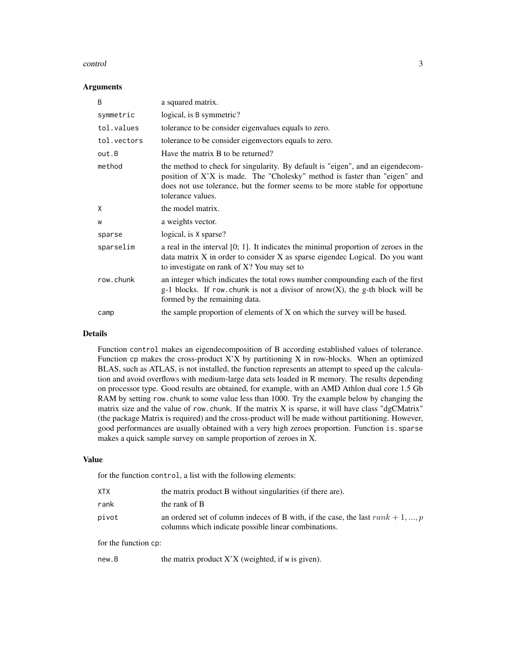#### control 3

#### Arguments

| B           | a squared matrix.                                                                                                                                                                                                                                                |
|-------------|------------------------------------------------------------------------------------------------------------------------------------------------------------------------------------------------------------------------------------------------------------------|
| symmetric   | logical, is B symmetric?                                                                                                                                                                                                                                         |
| tol.values  | tolerance to be consider eigenvalues equals to zero.                                                                                                                                                                                                             |
| tol.vectors | tolerance to be consider eigenvectors equals to zero.                                                                                                                                                                                                            |
| out.B       | Have the matrix B to be returned?                                                                                                                                                                                                                                |
| method      | the method to check for singularity. By default is "eigen", and an eigendecom-<br>position of X'X is made. The "Cholesky" method is faster than "eigen" and<br>does not use tolerance, but the former seems to be more stable for opportune<br>tolerance values. |
| X           | the model matrix.                                                                                                                                                                                                                                                |
| W           | a weights vector.                                                                                                                                                                                                                                                |
| sparse      | logical, is X sparse?                                                                                                                                                                                                                                            |
| sparselim   | a real in the interval $[0; 1]$ . It indicates the minimal proportion of zeroes in the<br>data matrix X in order to consider X as sparse eigendec Logical. Do you want<br>to investigate on rank of X? You may set to                                            |
| row.chunk   | an integer which indicates the total rows number compounding each of the first<br>$g-1$ blocks. If row chunk is not a divisor of nrow(X), the g-th block will be<br>formed by the remaining data.                                                                |
| camp        | the sample proportion of elements of X on which the survey will be based.                                                                                                                                                                                        |

#### Details

Function control makes an eigendecomposition of B according established values of tolerance. Function  $cp$  makes the cross-product X'X by partitioning X in row-blocks. When an optimized BLAS, such as ATLAS, is not installed, the function represents an attempt to speed up the calculation and avoid overflows with medium-large data sets loaded in R memory. The results depending on processor type. Good results are obtained, for example, with an AMD Athlon dual core 1.5 Gb RAM by setting row. chunk to some value less than 1000. Try the example below by changing the matrix size and the value of row.chunk. If the matrix X is sparse, it will have class "dgCMatrix" (the package Matrix is required) and the cross-product will be made without partitioning. However, good performances are usually obtained with a very high zeroes proportion. Function is.sparse makes a quick sample survey on sample proportion of zeroes in X.

#### Value

for the function control, a list with the following elements:

| XTX                  | the matrix product B without singularities (if there are).                                                                                |
|----------------------|-------------------------------------------------------------------------------------------------------------------------------------------|
| rank                 | the rank of B                                                                                                                             |
| pivot                | an ordered set of column indeces of B with, if the case, the last $rank + 1, , p$<br>columns which indicate possible linear combinations. |
| for the function cp: |                                                                                                                                           |

| new.B | the matrix product $X'X$ (weighted, if w is given). |  |  |
|-------|-----------------------------------------------------|--|--|
|-------|-----------------------------------------------------|--|--|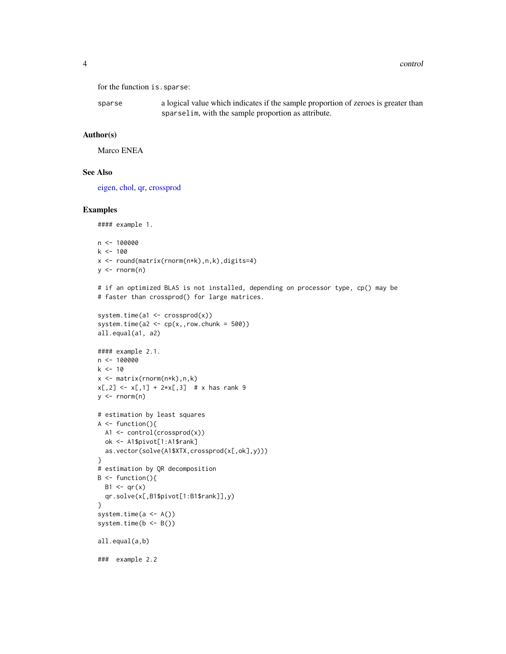```
for the function is.sparse:
```
sparse a logical value which indicates if the sample proportion of zeroes is greater than sparselim, with the sample proportion as attribute.

#### Author(s)

Marco ENEA

# See Also

[eigen,](#page-0-0) [chol,](#page-0-0) [qr,](#page-0-0) [crossprod](#page-0-0)

```
#### example 1.
n <- 100000
k < -100x <- round(matrix(rnorm(n*k),n,k),digits=4)
y \le - rnorm(n)# if an optimized BLAS is not installed, depending on processor type, cp() may be
# faster than crossprod() for large matrices.
system.time(a1 \leq crossprod(x))
system.time(a2 <- cp(x, row.chunk = 500))
all.equal(a1, a2)
#### example 2.1.
n <- 100000
k < -10x \leftarrow \text{matrix}(rnorm(n*k), n, k)x[, 2] \le x[, 1] + 2*x[, 3] # x has rank 9
y \le - rnorm(n)# estimation by least squares
A \leftarrow function()A1 <- control(crossprod(x))
  ok <- A1$pivot[1:A1$rank]
  as.vector(solve(A1$XTX,crossprod(x[,ok],y)))
}
# estimation by QR decomposition
B \leftarrow function()B1 \leftarrow qr(x)qr.solve(x[,B1$pivot[1:B1$rank]],y)
}
system.time(a <- A())
system.time(b <- B())
all.equal(a,b)
### example 2.2
```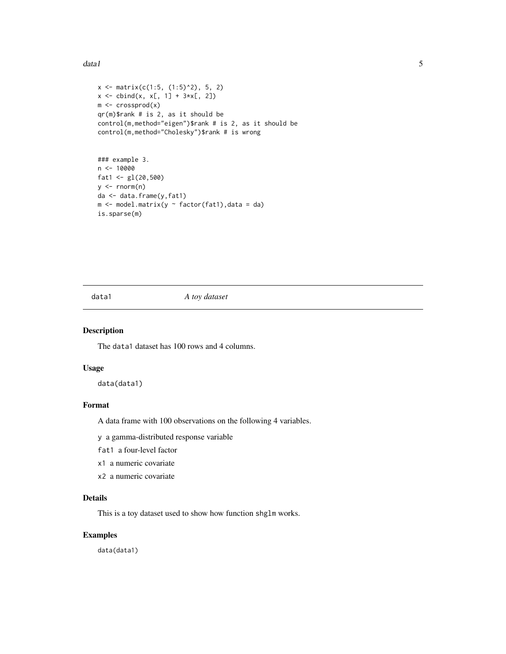#### <span id="page-4-0"></span>data1 5 September 2014 1 September 2014 1 September 2014 1 September 2014 1 September 2014 1 September 2014 1 S

```
x \le matrix(c(1:5, (1:5)^2), 5, 2)
x \le - \text{cbind}(x, x[, 1] + 3*x[, 2])m <- crossprod(x)
qr(m)$rank # is 2, as it should be
control(m,method="eigen")$rank # is 2, as it should be
control(m,method="Cholesky")$rank # is wrong
```

```
### example 3.
n < - 10000fat1 <- gl(20,500)
y \le - rnorm(n)da <- data.frame(y,fat1)
m <- model.matrix(y \sim factor(fat1), data = da)
is.sparse(m)
```
data1 *A toy dataset*

# Description

The data1 dataset has 100 rows and 4 columns.

#### Usage

data(data1)

# Format

A data frame with 100 observations on the following 4 variables.

y a gamma-distributed response variable

fat1 a four-level factor

- x1 a numeric covariate
- x2 a numeric covariate

# Details

This is a toy dataset used to show how function shglm works.

# Examples

data(data1)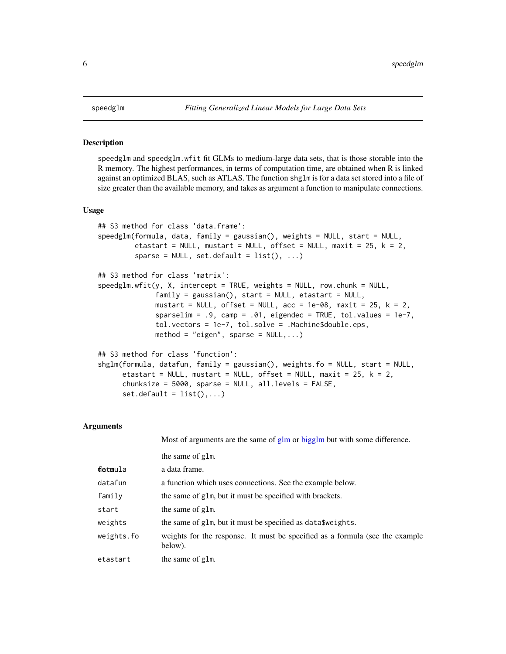speedglm and speedglm.wfit fit GLMs to medium-large data sets, that is those storable into the R memory. The highest performances, in terms of computation time, are obtained when R is linked against an optimized BLAS, such as ATLAS. The function shglm is for a data set stored into a file of size greater than the available memory, and takes as argument a function to manipulate connections.

#### Usage

```
## S3 method for class 'data.frame':
speedglm(formula, data, family = gaussian(), weights = NULL, start = NULL,
         etastart = NULL, mustart = NULL, offset = NULL, maxit = 25, k = 2,
         sparse = NULL, set.default = list(), ...)## S3 method for class 'matrix':
speedglm.wfit(y, X, intercept = TRUE, weights = NULL, row.chunk = NULL,
              family = gaussian(), start = NULL, etastart = NULL,
              mustart = NULL, offset = NULL, acc = 1e-08, maxit = 25, k = 2,
              sparselim = .9, camp = .01, eigendec = TRUE, tol.values = 1e-7,
              tol.vectors = 1e-7, tol.solve = .Machine$double.eps,
              method = "eigen", sparse = NULL, \ldots)## S3 method for class 'function':
shglm(formula, datafun, family = gaussian(), weights.fo = NULL, start = NULL,
     etastart = NULL, mustart = NULL, offset = NULL, maxit = 25, k = 2,
     chunksize = 5000, sparse = NULL, all.levels = FALSE,
     set.default = list(),...)
```
#### Arguments

|            | Most of arguments are the same of glm or bigglm but with some difference.               |
|------------|-----------------------------------------------------------------------------------------|
|            | the same of glm.                                                                        |
| detaula    | a data frame.                                                                           |
| datafun    | a function which uses connections. See the example below.                               |
| family     | the same of glm, but it must be specified with brackets.                                |
| start      | the same of glm.                                                                        |
| weights    | the same of glm, but it must be specified as data \$weights.                            |
| weights.fo | weights for the response. It must be specified as a formula (see the example<br>below). |
| etastart   | the same of glm.                                                                        |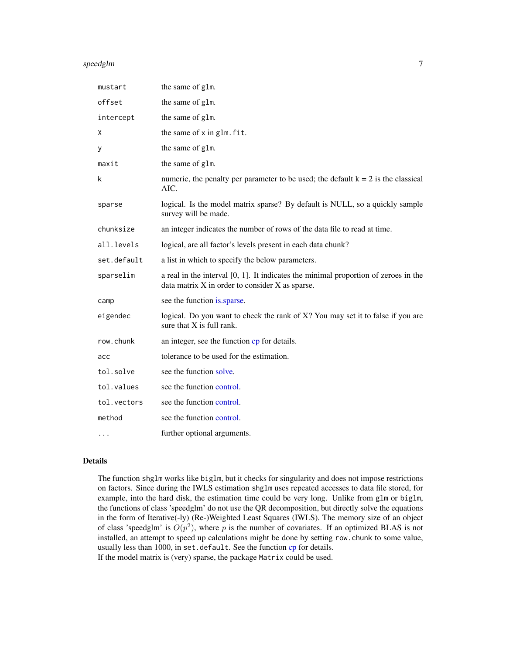#### <span id="page-6-0"></span>speedglm 30 and 30 and 30 and 30 and 30 and 30 and 30 and 30 and 30 and 30 and 30 and 30 and 30 and 30 and 30 and 30 and 30 and 30 and 30 and 30 and 30 and 30 and 30 and 30 and 30 and 30 and 30 and 30 and 30 and 30 and 30

| mustart     | the same of glm.                                                                                                                          |
|-------------|-------------------------------------------------------------------------------------------------------------------------------------------|
| offset      | the same of glm.                                                                                                                          |
| intercept   | the same of glm.                                                                                                                          |
| X           | the same of x in glm. fit.                                                                                                                |
| у           | the same of glm.                                                                                                                          |
| maxit       | the same of glm.                                                                                                                          |
| k           | numeric, the penalty per parameter to be used; the default $k = 2$ is the classical<br>AIC.                                               |
| sparse      | logical. Is the model matrix sparse? By default is NULL, so a quickly sample<br>survey will be made.                                      |
| chunksize   | an integer indicates the number of rows of the data file to read at time.                                                                 |
| all.levels  | logical, are all factor's levels present in each data chunk?                                                                              |
| set.default | a list in which to specify the below parameters.                                                                                          |
| sparselim   | a real in the interval $[0, 1]$ . It indicates the minimal proportion of zeroes in the<br>data matrix X in order to consider X as sparse. |
| camp        | see the function is sparse.                                                                                                               |
| eigendec    | logical. Do you want to check the rank of X? You may set it to false if you are<br>sure that X is full rank.                              |
| row.chunk   | an integer, see the function cp for details.                                                                                              |
| acc         | tolerance to be used for the estimation.                                                                                                  |
| tol.solve   | see the function solve.                                                                                                                   |
| tol.values  | see the function control.                                                                                                                 |
| tol.vectors | see the function control.                                                                                                                 |
| method      | see the function control.                                                                                                                 |
|             | further optional arguments.                                                                                                               |

#### Details

The function shglm works like biglm, but it checks for singularity and does not impose restrictions on factors. Since during the IWLS estimation shglm uses repeated accesses to data file stored, for example, into the hard disk, the estimation time could be very long. Unlike from glm or biglm, the functions of class 'speedglm' do not use the QR decomposition, but directly solve the equations in the form of Iterative(-ly) (Re-)Weighted Least Squares (IWLS). The memory size of an object of class 'speedglm' is  $O(p^2)$ , where p is the number of covariates. If an optimized BLAS is not installed, an attempt to speed up calculations might be done by setting row.chunk to some value, usually less than 1000, in set.default. See the function [cp](#page-1-1) for details. If the model matrix is (very) sparse, the package Matrix could be used.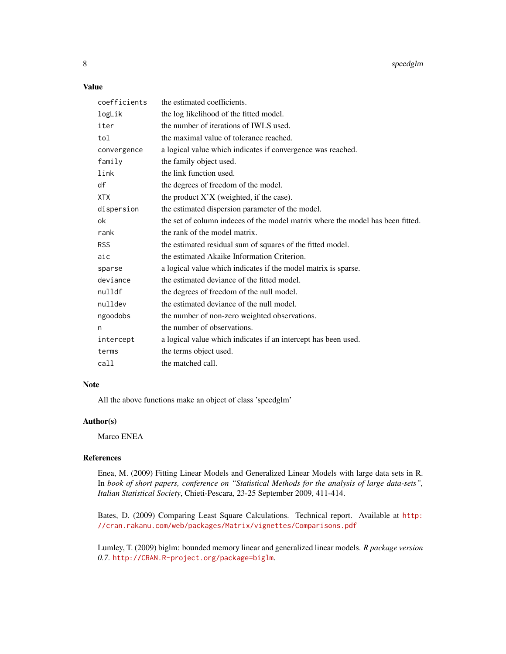8 speedglm

### Value

| coefficients | the estimated coefficients.                                                    |
|--------------|--------------------------------------------------------------------------------|
| logLik       | the log likelihood of the fitted model.                                        |
| iter         | the number of iterations of IWLS used.                                         |
| tol          | the maximal value of tolerance reached.                                        |
| convergence  | a logical value which indicates if convergence was reached.                    |
| family       | the family object used.                                                        |
| link         | the link function used.                                                        |
| df           | the degrees of freedom of the model.                                           |
| <b>XTX</b>   | the product $X'X$ (weighted, if the case).                                     |
| dispersion   | the estimated dispersion parameter of the model.                               |
| ok           | the set of column indeces of the model matrix where the model has been fitted. |
| rank         | the rank of the model matrix.                                                  |
| <b>RSS</b>   | the estimated residual sum of squares of the fitted model.                     |
| aic          | the estimated Akaike Information Criterion.                                    |
| sparse       | a logical value which indicates if the model matrix is sparse.                 |
| deviance     | the estimated deviance of the fitted model.                                    |
| nulldf       | the degrees of freedom of the null model.                                      |
| nulldev      | the estimated deviance of the null model.                                      |
| ngoodobs     | the number of non-zero weighted observations.                                  |
| n            | the number of observations.                                                    |
| intercept    | a logical value which indicates if an intercept has been used.                 |
| terms        | the terms object used.                                                         |
| call         | the matched call.                                                              |

# Note

All the above functions make an object of class 'speedglm'

### Author(s)

Marco ENEA

# References

Enea, M. (2009) Fitting Linear Models and Generalized Linear Models with large data sets in R. In *book of short papers, conference on "Statistical Methods for the analysis of large data-sets", Italian Statistical Society*, Chieti-Pescara, 23-25 September 2009, 411-414.

Bates, D. (2009) Comparing Least Square Calculations. Technical report. Available at [http:](http://cran.rakanu.com/web/packages/Matrix/vignettes/Comparisons.pdf) [//cran.rakanu.com/web/packages/Matrix/vignettes/Comparisons.pdf](http://cran.rakanu.com/web/packages/Matrix/vignettes/Comparisons.pdf)

Lumley, T. (2009) biglm: bounded memory linear and generalized linear models. *R package version 0.7*. <http://CRAN.R-project.org/package=biglm>.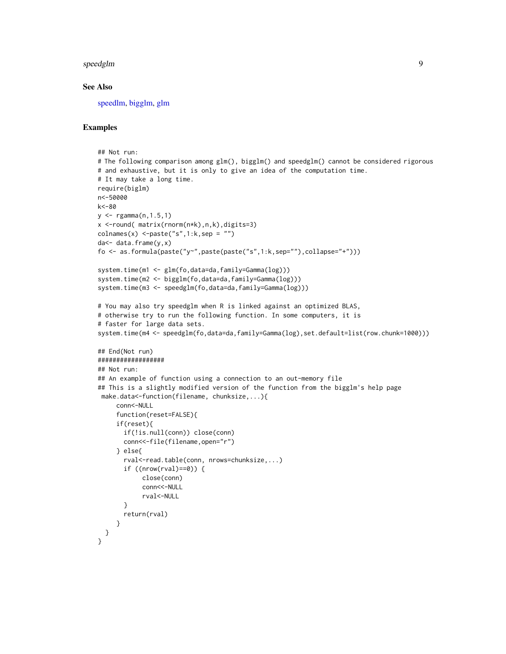#### <span id="page-8-0"></span>speedglm 9

#### See Also

[speedlm,](#page-9-1) [bigglm,](#page-0-0) [glm](#page-0-0)

```
## Not run:
# The following comparison among glm(), bigglm() and speedglm() cannot be considered rigorous
# and exhaustive, but it is only to give an idea of the computation time.
# It may take a long time.
require(biglm)
n<-50000
k<-80
y \le - rgamma(n, 1.5, 1)x <-round( matrix(rnorm(n*k),n,k),digits=3)
\text{colnames}(x) <-paste("s",1:k,sep = "")
da<- data.frame(y,x)
fo <- as.formula(paste("y~",paste(paste("s",1:k,sep=""),collapse="+")))
system.time(m1 <- glm(fo,data=da,family=Gamma(log)))
system.time(m2 <- bigglm(fo,data=da,family=Gamma(log)))
system.time(m3 <- speedglm(fo,data=da,family=Gamma(log)))
# You may also try speedglm when R is linked against an optimized BLAS,
# otherwise try to run the following function. In some computers, it is
# faster for large data sets.
system.time(m4 <- speedglm(fo,data=da,family=Gamma(log),set.default=list(row.chunk=1000)))
## End(Not run)
##################
## Not run:
## An example of function using a connection to an out-memory file
## This is a slightly modified version of the function from the bigglm's help page
 make.data<-function(filename, chunksize,...){
     conn<-NULL
     function(reset=FALSE){
     if(reset){
       if(!is.null(conn)) close(conn)
       conn<<-file(filename,open="r")
     } else{
       rval<-read.table(conn, nrows=chunksize,...)
       if ((\text{nrow}(\text{rval})==0)) {
            close(conn)
            conn<<-NULL
            rval<-NULL
       }
       return(rval)
     }
 }
}
```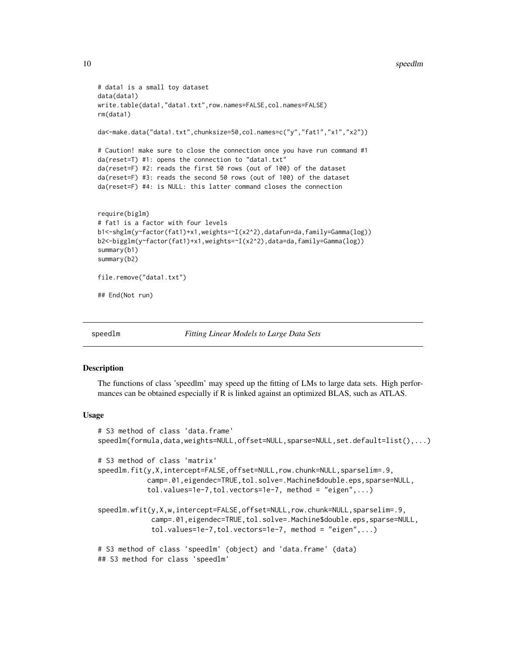```
# data1 is a small toy dataset
data(data1)
write.table(data1,"data1.txt",row.names=FALSE,col.names=FALSE)
rm(data1)
da<-make.data("data1.txt",chunksize=50,col.names=c("y","fat1","x1","x2"))
# Caution! make sure to close the connection once you have run command #1
da(reset=T) #1: opens the connection to "data1.txt"
da(reset=F) #2: reads the first 50 rows (out of 100) of the dataset
da(reset=F) #3: reads the second 50 rows (out of 100) of the dataset
da(reset=F) #4: is NULL: this latter command closes the connection
require(biglm)
# fat1 is a factor with four levels
b1<-shglm(y~factor(fat1)+x1,weights=~I(x2^2),datafun=da,family=Gamma(log))
b2<-bigglm(y~factor(fat1)+x1,weights=~I(x2^2),data=da,family=Gamma(log))
summary(b1)
summary(b2)
file.remove("data1.txt")
## End(Not run)
```
<span id="page-9-1"></span>

```
speedlm Fitting Linear Models to Large Data Sets
```
The functions of class 'speedlm' may speed up the fitting of LMs to large data sets. High performances can be obtained especially if R is linked against an optimized BLAS, such as ATLAS.

#### Usage

```
# S3 method of class 'data.frame'
speedlm(formula,data,weights=NULL,offset=NULL,sparse=NULL,set.default=list(),...)
# S3 method of class 'matrix'
speedlm.fit(y,X,intercept=FALSE,offset=NULL,row.chunk=NULL,sparselim=.9,
            camp=.01,eigendec=TRUE,tol.solve=.Machine$double.eps,sparse=NULL,
            tol.values=1e-7,tol.vectors=1e-7, method = "eigen",...)
speedlm.wfit(y,X,w,intercept=FALSE,offset=NULL,row.chunk=NULL,sparselim=.9,
             camp=.01,eigendec=TRUE,tol.solve=.Machine$double.eps,sparse=NULL,
             tol.values=1e-7,tol.vectors=1e-7, method = "eigen",...)
# S3 method of class 'speedlm' (object) and 'data.frame' (data)
## S3 method for class 'speedlm'
```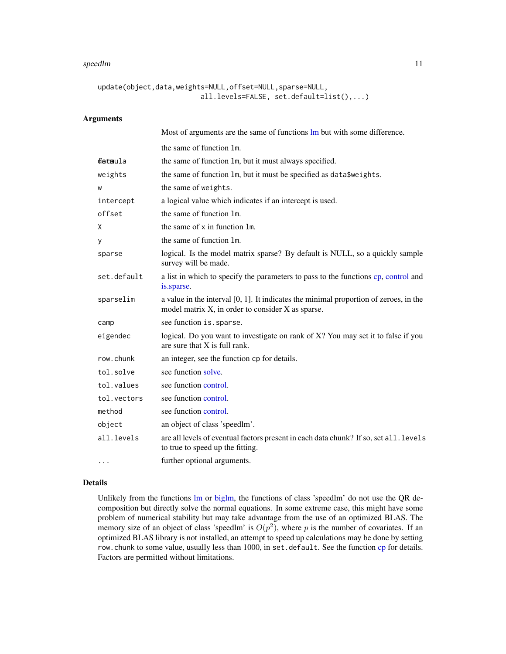#### <span id="page-10-0"></span>speedlm and the speedlm of the state of the state of the state of the state of the state of the state of the state of the state of the state of the state of the state of the state of the state of the state of the state of

```
update(object,data,weights=NULL,offset=NULL,sparse=NULL,
                         all.levels=FALSE, set.default=list(),...)
```
# Arguments

|             | Most of arguments are the same of functions lm but with some difference.                                                                      |
|-------------|-----------------------------------------------------------------------------------------------------------------------------------------------|
|             | the same of function 1m.                                                                                                                      |
| detaula     | the same of function 1m, but it must always specified.                                                                                        |
| weights     | the same of function 1m, but it must be specified as data\$weights.                                                                           |
| W           | the same of weights.                                                                                                                          |
| intercept   | a logical value which indicates if an intercept is used.                                                                                      |
| offset      | the same of function 1m.                                                                                                                      |
| Χ           | the same of x in function 1m.                                                                                                                 |
| У           | the same of function 1m.                                                                                                                      |
| sparse      | logical. Is the model matrix sparse? By default is NULL, so a quickly sample<br>survey will be made.                                          |
| set.default | a list in which to specify the parameters to pass to the functions cp, control and<br>is.sparse.                                              |
| sparselim   | a value in the interval $[0, 1]$ . It indicates the minimal proportion of zeroes, in the<br>model matrix X, in order to consider X as sparse. |
| camp        | see function is. sparse.                                                                                                                      |
| eigendec    | logical. Do you want to investigate on rank of X? You may set it to false if you<br>are sure that X is full rank.                             |
| row.chunk   | an integer, see the function cp for details.                                                                                                  |
| tol.solve   | see function solve.                                                                                                                           |
| tol.values  | see function control.                                                                                                                         |
| tol.vectors | see function control.                                                                                                                         |
| method      | see function control.                                                                                                                         |
| object      | an object of class 'speedlm'.                                                                                                                 |
| all.levels  | are all levels of eventual factors present in each data chunk? If so, set all. levels<br>to true to speed up the fitting.                     |
|             | further optional arguments.                                                                                                                   |

# Details

Unlikely from the functions [lm](#page-0-0) or [biglm,](#page-0-0) the functions of class 'speedlm' do not use the QR decomposition but directly solve the normal equations. In some extreme case, this might have some problem of numerical stability but may take advantage from the use of an optimized BLAS. The memory size of an object of class 'speedlm' is  $O(p^2)$ , where p is the number of covariates. If an optimized BLAS library is not installed, an attempt to speed up calculations may be done by setting row.chunk to some value, usually less than 1000, in set.default. See the function [cp](#page-1-1) for details. Factors are permitted without limitations.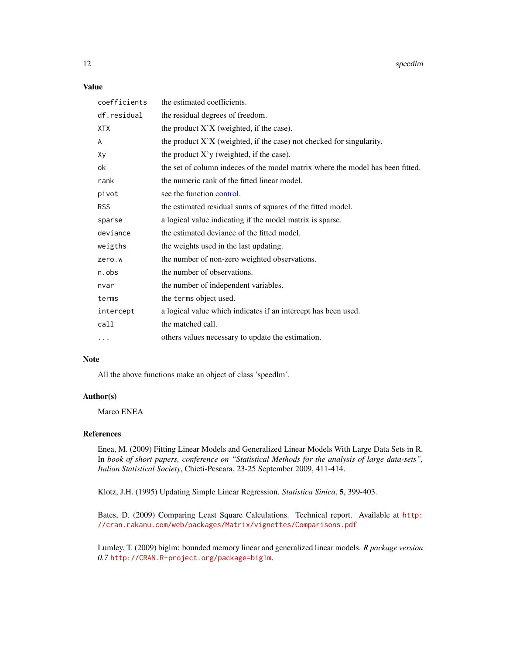<span id="page-11-0"></span>12 speedlm

# Value

| coefficients | the estimated coefficients.                                                    |
|--------------|--------------------------------------------------------------------------------|
| df.residual  | the residual degrees of freedom.                                               |
| <b>XTX</b>   | the product $X'X$ (weighted, if the case).                                     |
| A            | the product $X'X$ (weighted, if the case) not checked for singularity.         |
| Xy           | the product $X'y$ (weighted, if the case).                                     |
| оk           | the set of column indeces of the model matrix where the model has been fitted. |
| rank         | the numeric rank of the fitted linear model.                                   |
| pivot        | see the function control.                                                      |
| <b>RSS</b>   | the estimated residual sums of squares of the fitted model.                    |
| sparse       | a logical value indicating if the model matrix is sparse.                      |
| deviance     | the estimated deviance of the fitted model.                                    |
| weigths      | the weights used in the last updating.                                         |
| zero.w       | the number of non-zero weighted observations.                                  |
| n.obs        | the number of observations.                                                    |
| nvar         | the number of independent variables.                                           |
| terms        | the terms object used.                                                         |
| intercept    | a logical value which indicates if an intercept has been used.                 |
| call         | the matched call.                                                              |
| $\cdots$     | others values necessary to update the estimation.                              |

### Note

All the above functions make an object of class 'speedlm'.

#### Author(s)

Marco ENEA

## References

Enea, M. (2009) Fitting Linear Models and Generalized Linear Models With Large Data Sets in R. In *book of short papers, conference on "Statistical Methods for the analysis of large data-sets", Italian Statistical Society*, Chieti-Pescara, 23-25 September 2009, 411-414.

Klotz, J.H. (1995) Updating Simple Linear Regression. *Statistica Sinica*, 5, 399-403.

Bates, D. (2009) Comparing Least Square Calculations. Technical report. Available at [http:](http://cran.rakanu.com/web/packages/Matrix/vignettes/Comparisons.pdf) [//cran.rakanu.com/web/packages/Matrix/vignettes/Comparisons.pdf](http://cran.rakanu.com/web/packages/Matrix/vignettes/Comparisons.pdf)

Lumley, T. (2009) biglm: bounded memory linear and generalized linear models. *R package version 0.7* <http://CRAN.R-project.org/package=biglm>.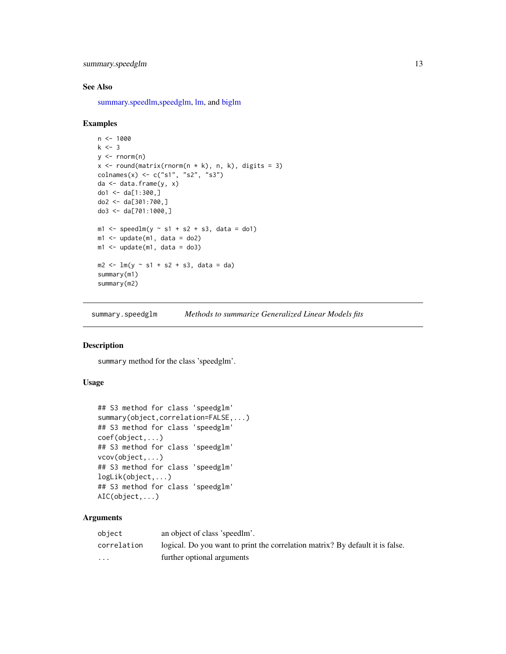```
summary.speedglm 13
```
#### See Also

[summary.speedlm](#page-14-1)[,speedglm,](#page-5-1) [lm,](#page-0-0) and [biglm](#page-0-0)

#### Examples

```
n < - 1000k \le -3y \le - rnorm(n)x \le round(matrix(rnorm(n * k), n, k), digits = 3)
colnames(x) <- c("s1", "s2", "s3")
da <- data.frame(y, x)
do1 <- da[1:300, ]do2 <- da[301:700,]
do3 <- da[701:1000,]
m1 <- speedlm(y ~ s1 + s2 + s3, data = do1)
m1 \leq update(m1, data = do2)
m1 <- update(m1, data = do3)
m2 < - \ln(y \sim s1 + s2 + s3, \text{ data} = da)summary(m1)
summary(m2)
```
summary.speedglm *Methods to summarize Generalized Linear Models fits*

# Description

summary method for the class 'speedglm'.

# Usage

```
## S3 method for class 'speedglm'
summary(object,correlation=FALSE,...)
## S3 method for class 'speedglm'
coef(object,...)
## S3 method for class 'speedglm'
vcov(object,...)
## S3 method for class 'speedglm'
logLik(object,...)
## S3 method for class 'speedglm'
AIC(object,...)
```
# Arguments

| object                  | an object of class 'speedlm'.                                                 |
|-------------------------|-------------------------------------------------------------------------------|
| correlation             | logical. Do you want to print the correlation matrix? By default it is false. |
| $\cdot$ $\cdot$ $\cdot$ | further optional arguments                                                    |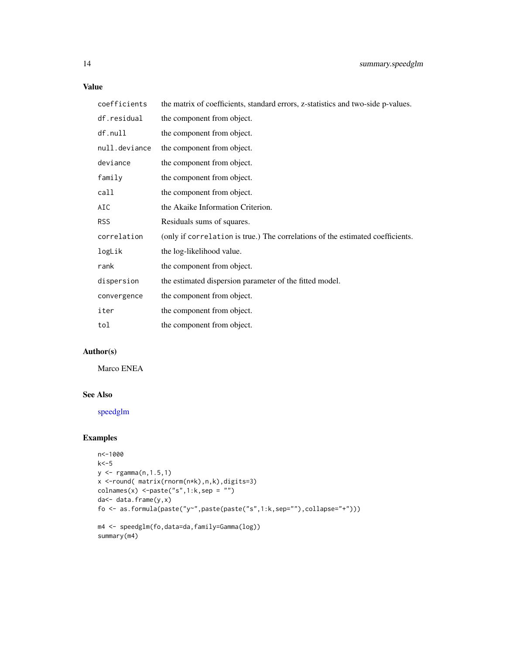# <span id="page-13-0"></span>Value

coefficients the matrix of coefficients, standard errors, z-statistics and two-side p-values.

| df.residual   | the component from object.                                                     |
|---------------|--------------------------------------------------------------------------------|
| df.null       | the component from object.                                                     |
| null.deviance | the component from object.                                                     |
| deviance      | the component from object.                                                     |
| family        | the component from object.                                                     |
| call          | the component from object.                                                     |
| AIC           | the Akaike Information Criterion.                                              |
| <b>RSS</b>    | Residuals sums of squares.                                                     |
| correlation   | (only if correlation is true.) The correlations of the estimated coefficients. |
| logLik        | the log-likelihood value.                                                      |
| rank          | the component from object.                                                     |
| dispersion    | the estimated dispersion parameter of the fitted model.                        |
| convergence   | the component from object.                                                     |
| iter          | the component from object.                                                     |
| tol           | the component from object.                                                     |

## Author(s)

Marco ENEA

#### See Also

[speedglm](#page-5-1)

```
n<-1000
k< -5y <- rgamma(n,1.5,1)
x <-round( matrix(rnorm(n*k),n,k),digits=3)
\text{columns}(x) \leq \text{paste}("s", 1:k, \text{sep} = "")da<- data.frame(y,x)
fo <- as.formula(paste("y~",paste(paste("s",1:k,sep=""),collapse="+")))
m4 <- speedglm(fo,data=da,family=Gamma(log))
summary(m4)
```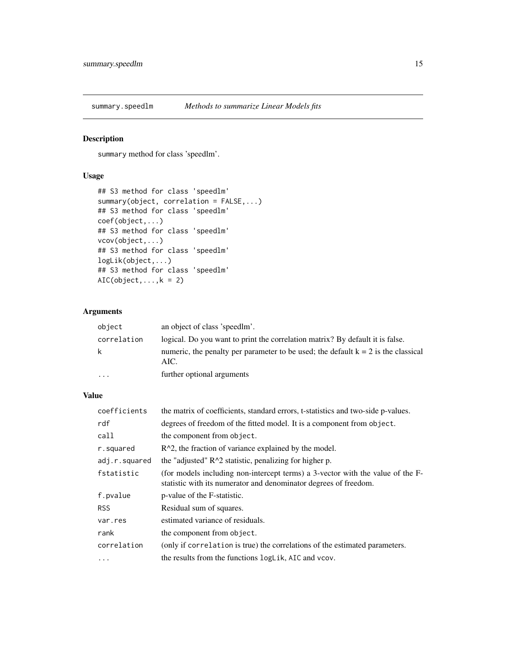<span id="page-14-1"></span><span id="page-14-0"></span>

summary method for class 'speedlm'.

#### Usage

```
## S3 method for class 'speedlm'
summary(object, correlation = FALSE,...)
## S3 method for class 'speedlm'
coef(object,...)
## S3 method for class 'speedlm'
vcov(object,...)
## S3 method for class 'speedlm'
logLik(object,...)
## S3 method for class 'speedlm'
AIC(object, ..., k = 2)
```
# Arguments

| object      | an object of class 'speedlm'.                                                               |
|-------------|---------------------------------------------------------------------------------------------|
| correlation | logical. Do you want to print the correlation matrix? By default it is false.               |
| k           | numeric, the penalty per parameter to be used; the default $k = 2$ is the classical<br>AIC. |
| $\cdots$    | further optional arguments                                                                  |

# Value

| coefficients  | the matrix of coefficients, standard errors, t-statistics and two-side p-values.                                                                   |
|---------------|----------------------------------------------------------------------------------------------------------------------------------------------------|
| rdf           | degrees of freedom of the fitted model. It is a component from object.                                                                             |
| call          | the component from object.                                                                                                                         |
| r.squared     | $R^2$ , the fraction of variance explained by the model.                                                                                           |
| adj.r.squared | the "adjusted" $R^2$ statistic, penalizing for higher p.                                                                                           |
| fstatistic    | (for models including non-intercept terms) a 3-vector with the value of the F-<br>statistic with its numerator and denominator degrees of freedom. |
| f.pvalue      | p-value of the F-statistic.                                                                                                                        |
| <b>RSS</b>    | Residual sum of squares.                                                                                                                           |
| var.res       | estimated variance of residuals.                                                                                                                   |
| rank          | the component from object.                                                                                                                         |
| correlation   | (only if correlation is true) the correlations of the estimated parameters.                                                                        |
| .             | the results from the functions logLik, AIC and vcov.                                                                                               |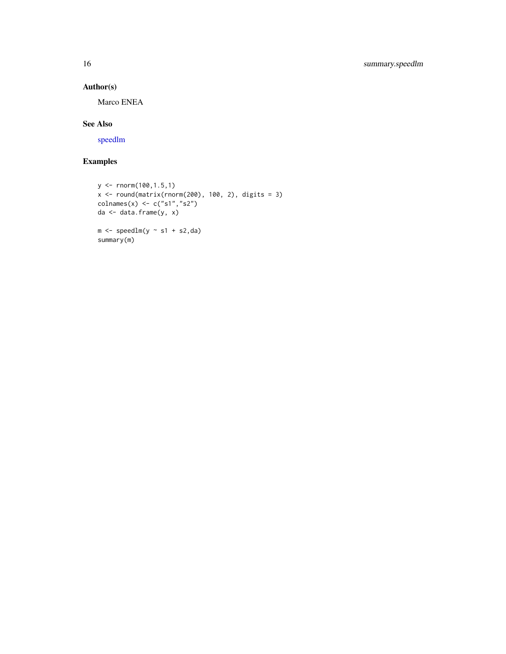# Author(s)

Marco ENEA

# See Also

[speedlm](#page-9-1)

```
y <- rnorm(100,1.5,1)
x \le round(matrix(rnorm(200), 100, 2), digits = 3)
\text{columns}(x) \leftarrow c("s1", "s2")da <- data.frame(y, x)
m \leftarrow \text{speedlm}(y \sim s1 + s2, da)summary(m)
```
<span id="page-15-0"></span>